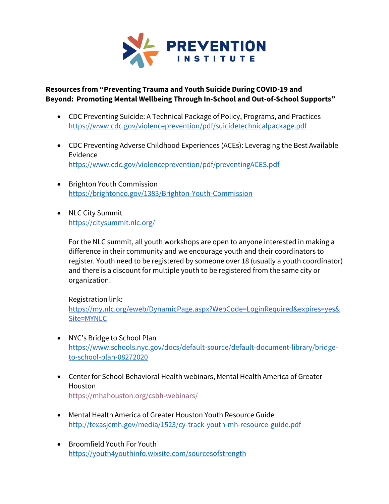

## **Resources from "Preventing Trauma and Youth Suicide During COVID-19 and Beyond: Promoting Mental Wellbeing Through In-School and Out-of-School Supports"**

- CDC Preventing Suicide: A Technical Package of Policy, Programs, and Practices <https://www.cdc.gov/violenceprevention/pdf/suicidetechnicalpackage.pdf>
- CDC Preventing Adverse Childhood Experiences (ACEs): Leveraging the Best Available Evidence <https://www.cdc.gov/violenceprevention/pdf/preventingACES.pdf>
- Brighton Youth Commission <https://brightonco.gov/1383/Brighton-Youth-Commission>
- NLC City Summit <https://citysummit.nlc.org/>

For the NLC summit, all youth workshops are open to anyone interested in making a difference in their community and we encourage youth and their coordinators to register. Youth need to be registered by someone over 18 (usually a youth coordinator) and there is a discount for multiple youth to be registered from the same city or organization!

## Registration link[:](https://my.nlc.org/eweb/DynamicPage.aspx?WebCode=LoginRequired&expires=yes&Site=MYNLC)

[https://my.nlc.org/eweb/DynamicPage.aspx?WebCode=LoginRequired&expires=yes&](https://my.nlc.org/eweb/DynamicPage.aspx?WebCode=LoginRequired&expires=yes&Site=MYNLC) [Site=MYNLC](https://my.nlc.org/eweb/DynamicPage.aspx?WebCode=LoginRequired&expires=yes&Site=MYNLC)

- NYC's Bridge to School Plan [https://www.schools.nyc.gov/docs/default-source/default-document-library/bridge](https://www.schools.nyc.gov/docs/default-source/default-document-library/bridge-to-school-plan-08272020)[to-school-plan-08272020](https://www.schools.nyc.gov/docs/default-source/default-document-library/bridge-to-school-plan-08272020)
- Center for School Behavioral Health webinars, Mental Health America of Greater Houston <https://mhahouston.org/csbh-webinars/>
- Mental Health America of Greater Houston Youth Resource Guide <http://texasjcmh.gov/media/1523/cy-track-youth-mh-resource-guide.pdf>
- Broomfield Youth For Youth <https://youth4youthinfo.wixsite.com/sourcesofstrength>